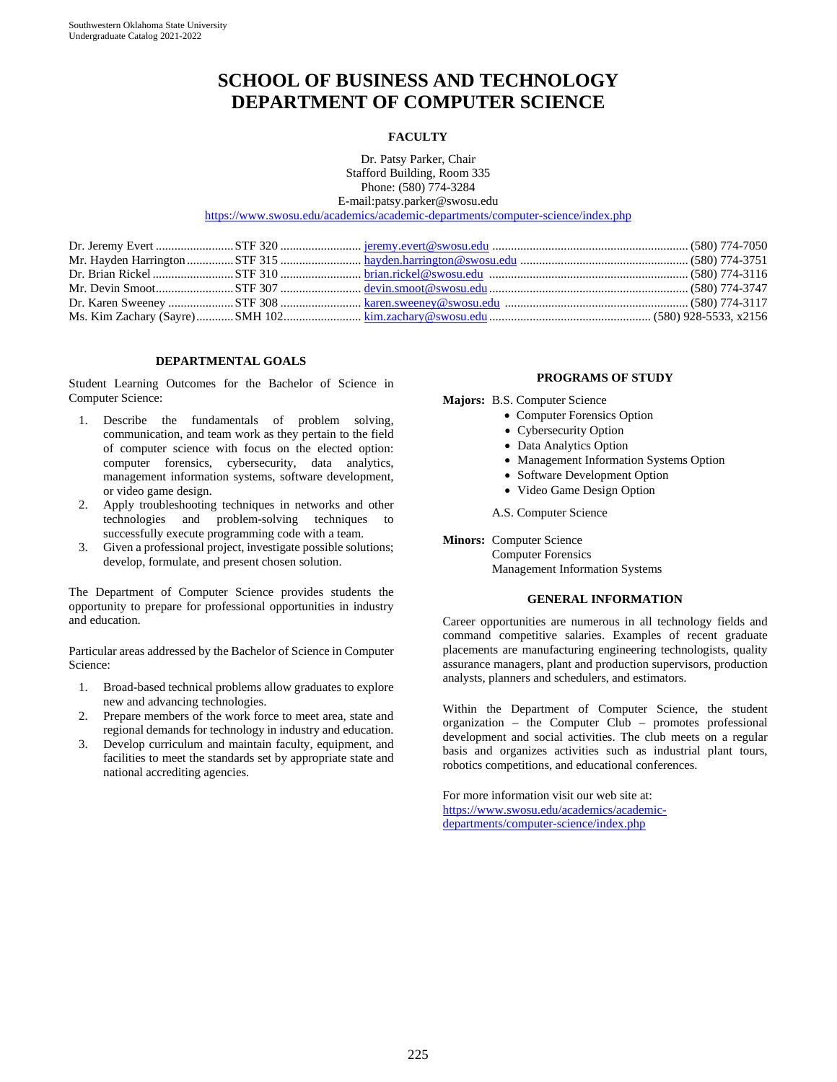# **SCHOOL OF BUSINESS AND TECHNOLOGY DEPARTMENT OF COMPUTER SCIENCE**

#### **FACULTY**

Dr. Patsy Parker, Chair Stafford Building, Room 335 Phone: (580) 774-3284 E-mail:patsy.parker@swosu.edu

<https://www.swosu.edu/academics/academic-departments/computer-science/index.php>

### **DEPARTMENTAL GOALS**

Student Learning Outcomes for the Bachelor of Science in Computer Science:

- 1. Describe the fundamentals of problem solving, communication, and team work as they pertain to the field of computer science with focus on the elected option: computer forensics, cybersecurity, data analytics, management information systems, software development, or video game design.
- 2. Apply troubleshooting techniques in networks and other technologies and problem-solving techniques successfully execute programming code with a team.
- 3. Given a professional project, investigate possible solutions; develop, formulate, and present chosen solution.

The Department of Computer Science provides students the opportunity to prepare for professional opportunities in industry and education.

Particular areas addressed by the Bachelor of Science in Computer Science:

- 1. Broad-based technical problems allow graduates to explore new and advancing technologies.
- 2. Prepare members of the work force to meet area, state and regional demands for technology in industry and education.
- 3. Develop curriculum and maintain faculty, equipment, and facilities to meet the standards set by appropriate state and national accrediting agencies.

#### **PROGRAMS OF STUDY**

**Majors:** B.S. Computer Science

- Computer Forensics Option
- Cybersecurity Option
- Data Analytics Option
- Management Information Systems Option
- Software Development Option
- Video Game Design Option

A.S. Computer Science

**Minors:** Computer Science

Computer Forensics Management Information Systems

#### **GENERAL INFORMATION**

Career opportunities are numerous in all technology fields and command competitive salaries. Examples of recent graduate placements are manufacturing engineering technologists, quality assurance managers, plant and production supervisors, production analysts, planners and schedulers, and estimators.

Within the Department of Computer Science, the student organization – the Computer Club – promotes professional development and social activities. The club meets on a regular basis and organizes activities such as industrial plant tours, robotics competitions, and educational conferences.

For more information visit our web site at: [https://www.swosu.edu/academics/academic](https://www.swosu.edu/academics/academic-departments/computer-science/index.php)[departments/computer-science/index.php](https://www.swosu.edu/academics/academic-departments/computer-science/index.php)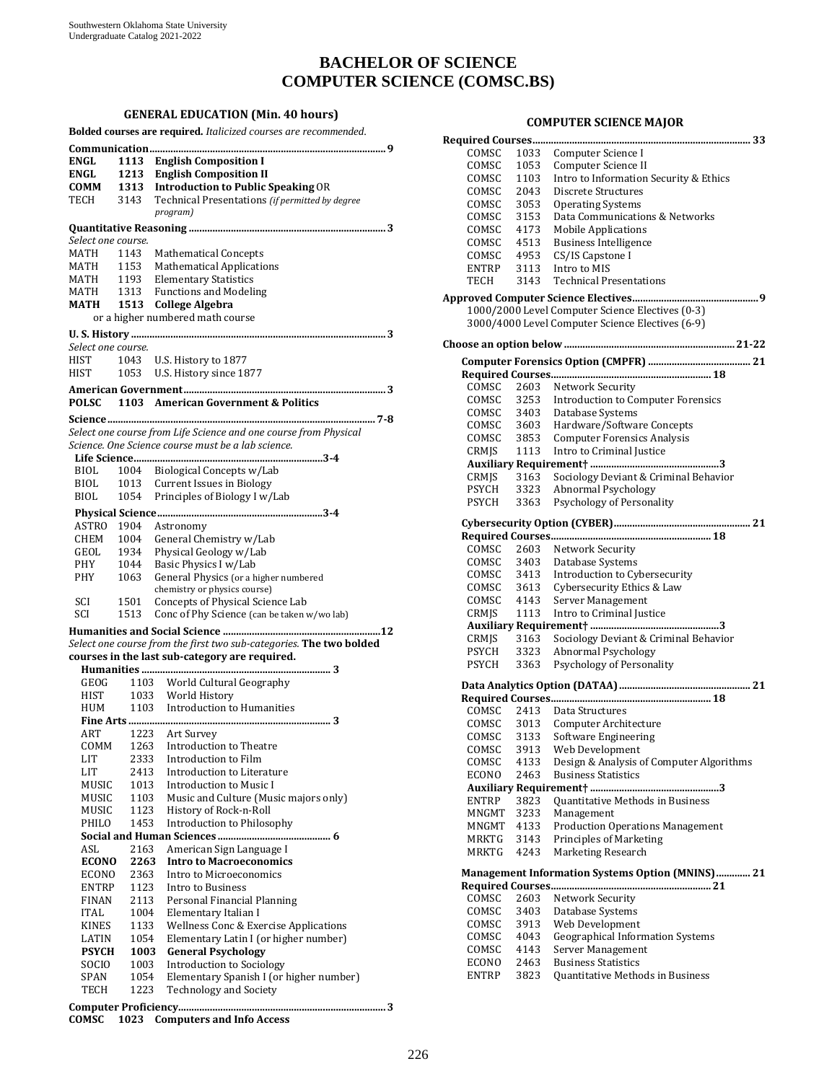# **BACHELOR OF SCIENCE COMPUTER SCIENCE (COMSC.BS)**

**GENERAL EDUCATION (Min. 40 hours) Bolded courses are required.** *Italicized courses are recommended.* **Communication.......................................................................................... 9 ENGL 1113 English Composition I ENGL 1213 English Composition II COMM 1313 Introduction to Public Speaking** OR Technical Presentations (if permitted by degree *program)* **Quantitative Reasoning ........................................................................... 3**  *Select one course.* MATH 1143 Mathematical Concepts<br>MATH 1153 Mathematical Applicatio MATH 1153 Mathematical Applications<br>MATH 1193 Elementary Statistics MATH 1193 Elementary Statistics<br>MATH 1313 Functions and Modeli MATH 1313 Functions and Modeling<br>MATH 1513 College Algebra **MATH 1513 College Algebra** or a higher numbered math course **U. S. History ................................................................................................. 3**  *Select one course.* HIST 1043 U.S. History to 1877<br>HIST 1053 U.S. History since 18 1053 U.S. History since 1877 **American Government............................................................................. 3 POLSC 1103 American Government & Politics Science...................................................................................................... 7-8**  *Select one course from Life Science and one course from Physical Science. One Science course must be a lab science.* **Life Science........................................................................ 3-4**  BIOL 1004 Biological Concepts w/Lab<br>BIOL 1013 Current Issues in Biology BIOL 1013 Current Issues in Biology<br>BIOL 1054 Principles of Biology I w/ Principles of Biology I w/Lab **Physical Science............................................................... 3-4**  ASTRO 1904 Astronomy CHEM 1004 General Chemistry w/Lab<br>GEOL 1934 Physical Geology w/Lab GEOL 1934 Physical Geology w/Lab<br>PHY 1044 Basic Physics I w/Lab PHY 1044 Basic Physics I w/Lab<br>PHY 1063 General Physics (or a h General Physics (or a higher numbered chemistry or physics course) SCI 1501 Concepts of Physical Science Lab<br>SCI 1513 Conc of Phy Science (can be taken v 1513 Conc of Phy Science (can be taken w/wo lab) **Humanities and Social Science ............................................................12** *Select one course from the first two sub-categories.* **The two bolded courses in the last sub-category are required. Humanities ........................................................................ 3**  GEOG 1103 World Cultural Geography<br>HIST 1033 World History HIST 1033 World History<br>HUM 1103 Introduction to 1103 Introduction to Humanities **Fine Arts ............................................................................. 3**  ART 1223 Art Survey<br>COMM 1263 Introduction to COMM 1263 Introduction to Theatre<br>LIT 2333 Introduction to Film LIT 2333 Introduction to Film<br>LIT 2413 Introduction to Liter LIT 2413 Introduction to Literature<br>MUSIC 1013 Introduction to Music I MUSIC 1013 Introduction to Music I<br>MUSIC 1103 Music and Culture (Mus MUSIC 1103 Music and Culture (Music majors only)<br>MUSIC 1123 History of Rock-n-Roll MUSIC 1123 History of Rock-n-Roll<br>PHILO 1453 Introduction to Philoso 1453 Introduction to Philosophy **Social and Human Sciences ........................................... 6**  ASL 2163 American Sign Language I **ECONO 2263 Intro to Macroeconomics**  ECONO 2363 Intro to Microeconomics<br>ENTRP 1123 Intro to Business ENTRP 1123 Intro to Business<br>FINAN 2113 Personal Financia FINAN 2113 Personal Financial Planning<br>ITAL 1004 Elementary Italian I ITAL 1004 Elementary Italian I<br>KINES 1133 Wellness Conc & Exe KINES 1133 Wellness Conc & Exercise Applications<br>LATIN 1054 Elementary Latin I (or higher number) LATIN 1054 Elementary Latin I (or higher number)<br>PSYCH 1003 General Psychology **PSYCH 1003 General Psychology**  SOCIO 1003 Introduction to Sociology<br>SPAN 1054 Elementary Spanish I (or) SPAN 1054 Elementary Spanish I (or higher number)<br>TECH 1223 Technology and Society 1223 Technology and Society **Computer Proficiency............................................................................... 3 COMSC 1023 Computers and Info Access**

#### **COMPUTER SCIENCE MAJOR**

| COMSC                                            | 1033         | Computer Science I                                                                                   |
|--------------------------------------------------|--------------|------------------------------------------------------------------------------------------------------|
| COMSC                                            | 1053         | Computer Science II                                                                                  |
| COMSC                                            | 1103         | Intro to Information Security & Ethics                                                               |
| COMSC                                            | 2043         | Discrete Structures                                                                                  |
| COMSC                                            | 3053         | <b>Operating Systems</b>                                                                             |
| COMSC                                            | 3153         | Data Communications & Networks                                                                       |
| COMSC                                            | 4173         | <b>Mobile Applications</b>                                                                           |
| COMSC                                            | 4513         | <b>Business Intelligence</b>                                                                         |
| COMSC                                            | 4953         | CS/IS Capstone I                                                                                     |
| ENTRP<br><b>TECH</b>                             | 3113         | Intro to MIS                                                                                         |
|                                                  | 3143         | <b>Technical Presentations</b>                                                                       |
|                                                  |              |                                                                                                      |
|                                                  |              | 1000/2000 Level Computer Science Electives (0-3)<br>3000/4000 Level Computer Science Electives (6-9) |
|                                                  |              |                                                                                                      |
|                                                  |              |                                                                                                      |
|                                                  |              |                                                                                                      |
|                                                  |              |                                                                                                      |
| COMSC                                            | 2603         | Network Security                                                                                     |
| COMSC                                            | 3253         | <b>Introduction to Computer Forensics</b>                                                            |
| COMSC                                            |              |                                                                                                      |
| COMSC                                            |              | 3403 Database Systems<br>3603 Hardware/Software Concepts                                             |
| COMSC                                            | 3853         | <b>Computer Forensics Analysis</b>                                                                   |
| CRMJS                                            | 1113         | Intro to Criminal Justice                                                                            |
|                                                  |              |                                                                                                      |
| CRMJS                                            | 3163         | Sociology Deviant & Criminal Behavior                                                                |
| <b>PSYCH</b>                                     | 3323         | Abnormal Psychology                                                                                  |
| <b>PSYCH</b>                                     | 3363         | Psychology of Personality                                                                            |
|                                                  |              |                                                                                                      |
|                                                  |              |                                                                                                      |
| COMSC                                            | 2603         | Network Security                                                                                     |
| COMSC                                            | 3403         | Database Systems                                                                                     |
| COMSC                                            | 3413         | Introduction to Cybersecurity                                                                        |
| COMSC                                            | 3613         | Cybersecurity Ethics & Law                                                                           |
| COMSC                                            | 4143         | Server Management                                                                                    |
| CRMJS                                            | 1113         | Intro to Criminal Justice                                                                            |
|                                                  |              |                                                                                                      |
| CRMJS                                            | 3163         | Sociology Deviant & Criminal Behavior                                                                |
| PSYCH                                            | 3323         | Abnormal Psychology                                                                                  |
| <b>PSYCH</b>                                     | 3363         | Psychology of Personality                                                                            |
|                                                  |              |                                                                                                      |
|                                                  |              |                                                                                                      |
| COMSC                                            | 2413         | Data Structures                                                                                      |
| COMSC                                            | 3013         | Computer Architecture                                                                                |
| COMSC                                            | 3133         | Software Engineering                                                                                 |
| COMSC                                            | 3913         | Web Development                                                                                      |
| COMSC                                            | 4133         | Design & Analysis of Computer Algorithms                                                             |
| ECONO                                            | 2463         | <b>Business Statistics</b>                                                                           |
|                                                  |              |                                                                                                      |
| <b>ENTRP</b>                                     | 3823         | Quantitative Methods in Business                                                                     |
| MNGMT                                            | 3233         | Management                                                                                           |
| MNGMT<br>MRKTG                                   | 4133         | <b>Production Operations Management</b><br>Principles of Marketing                                   |
| MRKTG                                            | 3143<br>4243 | Marketing Research                                                                                   |
|                                                  |              |                                                                                                      |
| Management Information Systems Option (MNINS) 21 |              |                                                                                                      |
|                                                  |              |                                                                                                      |
| COMSC                                            | 2603         | Network Security                                                                                     |
| COMSC                                            | 3403         | Database Systems                                                                                     |
| COMSC                                            | 3913         | Web Development                                                                                      |
| COMSC                                            | 4043         | <b>Geographical Information Systems</b>                                                              |
| COMSC                                            | 4143         | Server Management                                                                                    |
| ECONO                                            | 2463         | <b>Business Statistics</b>                                                                           |
| ENTRP                                            | 3823         | Quantitative Methods in Business                                                                     |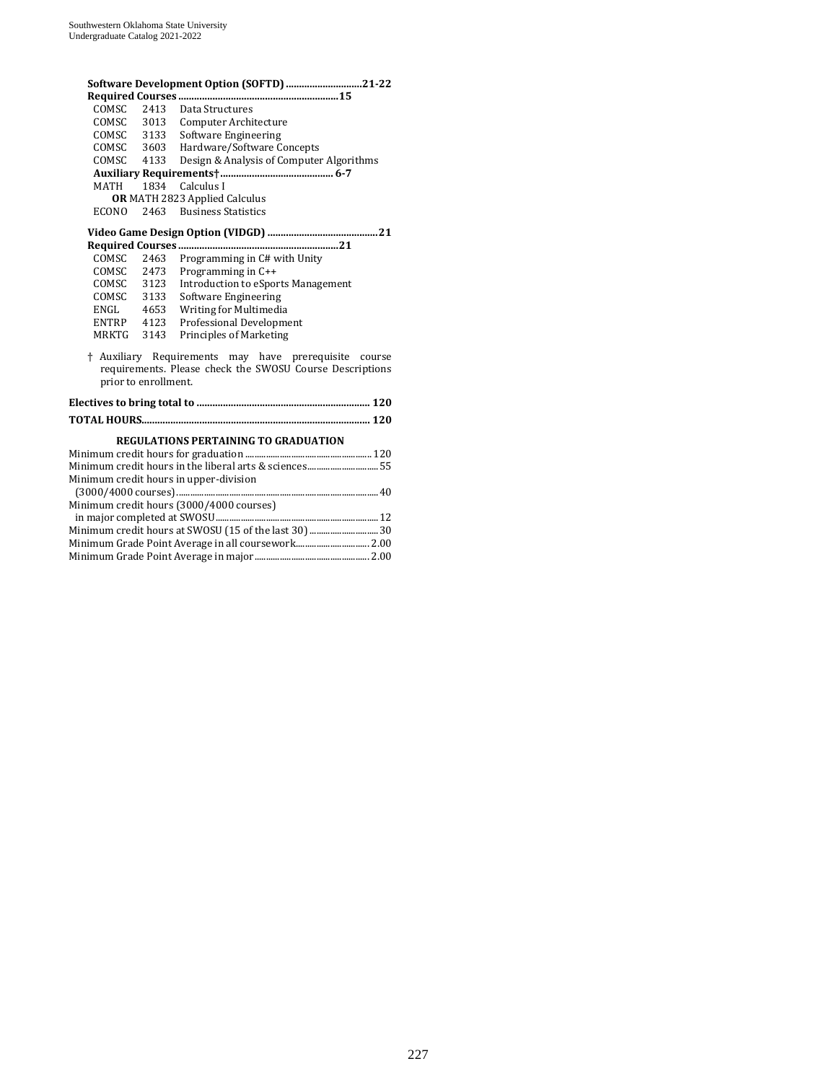| Software Development Option (SOFTD) 21-22             |                      |                                                                                                                   |  |
|-------------------------------------------------------|----------------------|-------------------------------------------------------------------------------------------------------------------|--|
|                                                       |                      |                                                                                                                   |  |
| <b>COMSC</b>                                          | 2413                 | Data Structures                                                                                                   |  |
| COMSC                                                 |                      | 3013 Computer Architecture                                                                                        |  |
|                                                       |                      | COMSC 3133 Software Engineering                                                                                   |  |
|                                                       |                      | COMSC 3603 Hardware/Software Concepts                                                                             |  |
| COMSC                                                 | 4133                 | Design & Analysis of Computer Algorithms                                                                          |  |
|                                                       |                      |                                                                                                                   |  |
| MATH                                                  | 1834                 | Calculus I                                                                                                        |  |
|                                                       |                      | <b>OR MATH 2823 Applied Calculus</b>                                                                              |  |
| <b>ECONO</b>                                          | 2463                 | <b>Business Statistics</b>                                                                                        |  |
|                                                       |                      |                                                                                                                   |  |
|                                                       |                      |                                                                                                                   |  |
| COMSC                                                 | 2463                 | Programming in C# with Unity                                                                                      |  |
|                                                       | COMSC 2473           | Programming in C++                                                                                                |  |
|                                                       | COMSC 3123           | <b>Introduction to eSports Management</b>                                                                         |  |
|                                                       | COMSC 3133           | Software Engineering                                                                                              |  |
|                                                       | ENGL 4653            | Writing for Multimedia                                                                                            |  |
|                                                       | ENTRP 4123           | Professional Development                                                                                          |  |
|                                                       | MRKTG 3143           | <b>Principles of Marketing</b>                                                                                    |  |
|                                                       | prior to enrollment. | † Auxiliary Requirements may have prerequisite course<br>requirements. Please check the SWOSU Course Descriptions |  |
|                                                       |                      |                                                                                                                   |  |
|                                                       |                      |                                                                                                                   |  |
|                                                       |                      | <b>REGULATIONS PERTAINING TO GRADUATION</b>                                                                       |  |
|                                                       |                      |                                                                                                                   |  |
| Minimum credit hours in the liberal arts & sciences55 |                      |                                                                                                                   |  |
| Minimum credit hours in upper-division                |                      |                                                                                                                   |  |
|                                                       |                      |                                                                                                                   |  |
|                                                       |                      | Minimum credit hours (3000/4000 courses)                                                                          |  |
|                                                       |                      | in major completed at CWOCH<br>12                                                                                 |  |

| Minimum credit hours at SWOSU (15 of the last 30)  30 |  |
|-------------------------------------------------------|--|
|                                                       |  |
|                                                       |  |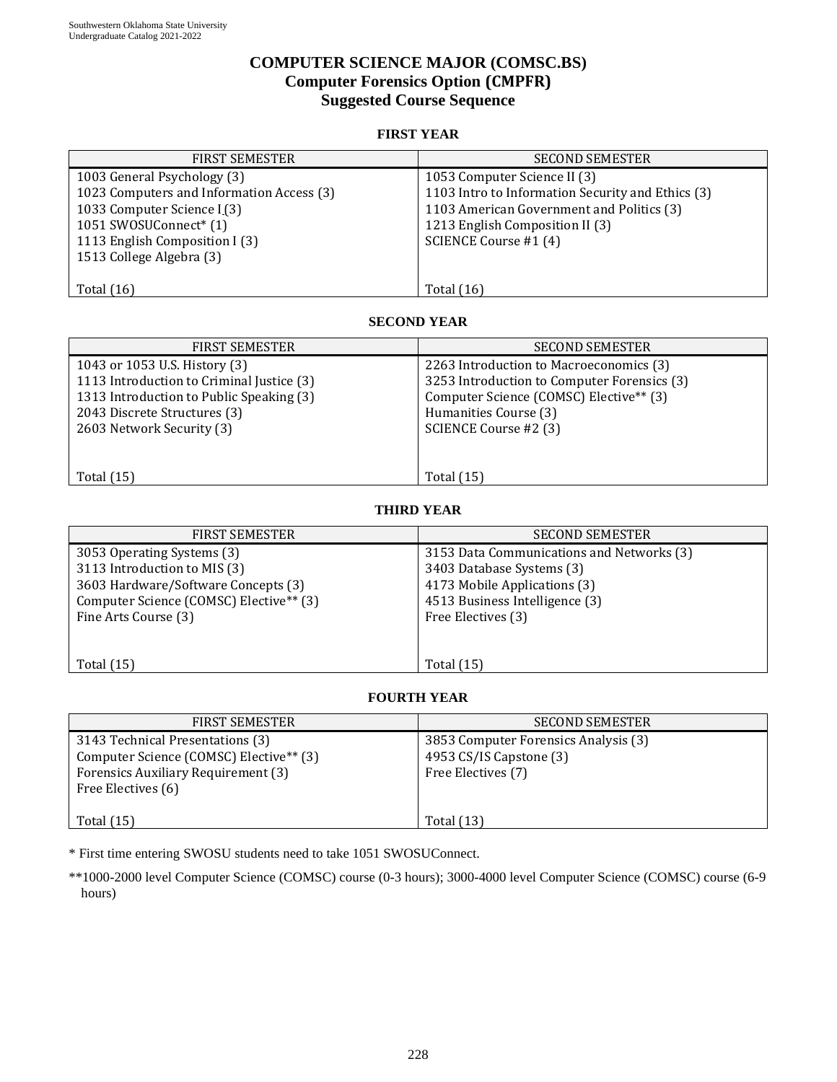# **COMPUTER SCIENCE MAJOR (COMSC.BS) Computer Forensics Option (CMPFR) Suggested Course Sequence**

## **FIRST YEAR**

| <b>FIRST SEMESTER</b>                     | <b>SECOND SEMESTER</b>                            |
|-------------------------------------------|---------------------------------------------------|
| 1003 General Psychology (3)               | 1053 Computer Science II (3)                      |
| 1023 Computers and Information Access (3) | 1103 Intro to Information Security and Ethics (3) |
| 1033 Computer Science I (3)               | 1103 American Government and Politics (3)         |
| 1051 SWOSUConnect* (1)                    | 1213 English Composition II (3)                   |
| 1113 English Composition I (3)            | SCIENCE Course #1 (4)                             |
| 1513 College Algebra (3)                  |                                                   |
|                                           |                                                   |
| Total $(16)$                              | Total $(16)$                                      |

#### **SECOND YEAR**

| <b>FIRST SEMESTER</b>                     | <b>SECOND SEMESTER</b>                      |
|-------------------------------------------|---------------------------------------------|
| 1043 or 1053 U.S. History (3)             | 2263 Introduction to Macroeconomics (3)     |
| 1113 Introduction to Criminal Justice (3) | 3253 Introduction to Computer Forensics (3) |
| 1313 Introduction to Public Speaking (3)  | Computer Science (COMSC) Elective** (3)     |
| 2043 Discrete Structures (3)              | Humanities Course (3)                       |
| 2603 Network Security (3)                 | SCIENCE Course #2 (3)                       |
|                                           |                                             |
|                                           |                                             |
| Total $(15)$                              | <b>Total</b> (15)                           |

### **THIRD YEAR**

| <b>FIRST SEMESTER</b>                   | <b>SECOND SEMESTER</b>                    |
|-----------------------------------------|-------------------------------------------|
| 3053 Operating Systems (3)              | 3153 Data Communications and Networks (3) |
| 3113 Introduction to MIS (3)            | 3403 Database Systems (3)                 |
| 3603 Hardware/Software Concepts (3)     | 4173 Mobile Applications (3)              |
| Computer Science (COMSC) Elective** (3) | 4513 Business Intelligence (3)            |
| Fine Arts Course (3)                    | Free Electives (3)                        |
|                                         |                                           |
|                                         |                                           |
| Total $(15)$                            | Total $(15)$                              |

## **FOURTH YEAR**

| FIRST SEMESTER                                                                                                                                       | <b>SECOND SEMESTER</b>                                                                |
|------------------------------------------------------------------------------------------------------------------------------------------------------|---------------------------------------------------------------------------------------|
| 3143 Technical Presentations (3)<br>Computer Science (COMSC) Elective <sup>**</sup> (3)<br>Forensics Auxiliary Requirement (3)<br>Free Electives (6) | 3853 Computer Forensics Analysis (3)<br>4953 CS/IS Capstone (3)<br>Free Electives (7) |
| Total $(15)$                                                                                                                                         | <b>Total</b> (13)                                                                     |

\* First time entering SWOSU students need to take 1051 SWOSUConnect.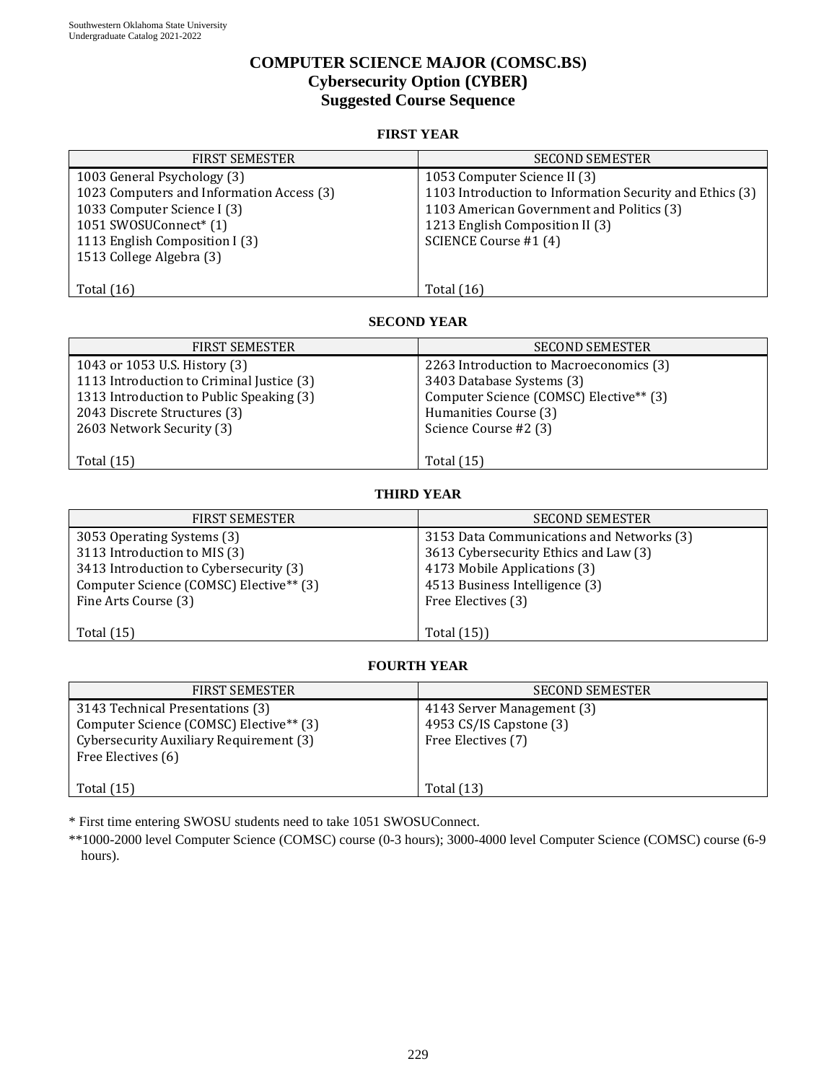# **COMPUTER SCIENCE MAJOR (COMSC.BS) Cybersecurity Option (CYBER) Suggested Course Sequence**

## **FIRST YEAR**

| <b>FIRST SEMESTER</b>                     | <b>SECOND SEMESTER</b>                                   |
|-------------------------------------------|----------------------------------------------------------|
| 1003 General Psychology (3)               | 1053 Computer Science II (3)                             |
| 1023 Computers and Information Access (3) | 1103 Introduction to Information Security and Ethics (3) |
| 1033 Computer Science I (3)               | 1103 American Government and Politics (3)                |
| 1051 SWOSUConnect* (1)                    | 1213 English Composition II (3)                          |
| 1113 English Composition I (3)            | SCIENCE Course #1 (4)                                    |
| 1513 College Algebra (3)                  |                                                          |
|                                           |                                                          |
| Total $(16)$                              | Total $(16)$                                             |

#### **SECOND YEAR**

| <b>FIRST SEMESTER</b>                     | <b>SECOND SEMESTER</b>                  |
|-------------------------------------------|-----------------------------------------|
| 1043 or 1053 U.S. History (3)             | 2263 Introduction to Macroeconomics (3) |
| 1113 Introduction to Criminal Justice (3) | 3403 Database Systems (3)               |
| 1313 Introduction to Public Speaking (3)  | Computer Science (COMSC) Elective** (3) |
| 2043 Discrete Structures (3)              | Humanities Course (3)                   |
| 2603 Network Security (3)                 | Science Course #2 (3)                   |
|                                           |                                         |
| Total $(15)$                              | <b>Total</b> (15)                       |

## **THIRD YEAR**

| <b>FIRST SEMESTER</b>                   | <b>SECOND SEMESTER</b>                    |
|-----------------------------------------|-------------------------------------------|
| 3053 Operating Systems (3)              | 3153 Data Communications and Networks (3) |
| 3113 Introduction to MIS (3)            | 3613 Cybersecurity Ethics and Law (3)     |
| 3413 Introduction to Cybersecurity (3)  | 4173 Mobile Applications (3)              |
| Computer Science (COMSC) Elective** (3) | 4513 Business Intelligence (3)            |
| Fine Arts Course (3)                    | Free Electives (3)                        |
|                                         |                                           |
| Total $(15)$                            | Total (15))                               |

## **FOURTH YEAR**

| <b>FIRST SEMESTER</b>                                                                                                                                    | <b>SECOND SEMESTER</b>                                                      |
|----------------------------------------------------------------------------------------------------------------------------------------------------------|-----------------------------------------------------------------------------|
| 3143 Technical Presentations (3)<br>Computer Science (COMSC) Elective <sup>**</sup> (3)<br>Cybersecurity Auxiliary Requirement (3)<br>Free Electives (6) | 4143 Server Management (3)<br>4953 CS/IS Capstone (3)<br>Free Electives (7) |
| Total $(15)$                                                                                                                                             | <b>Total</b> (13)                                                           |

\* First time entering SWOSU students need to take 1051 SWOSUConnect.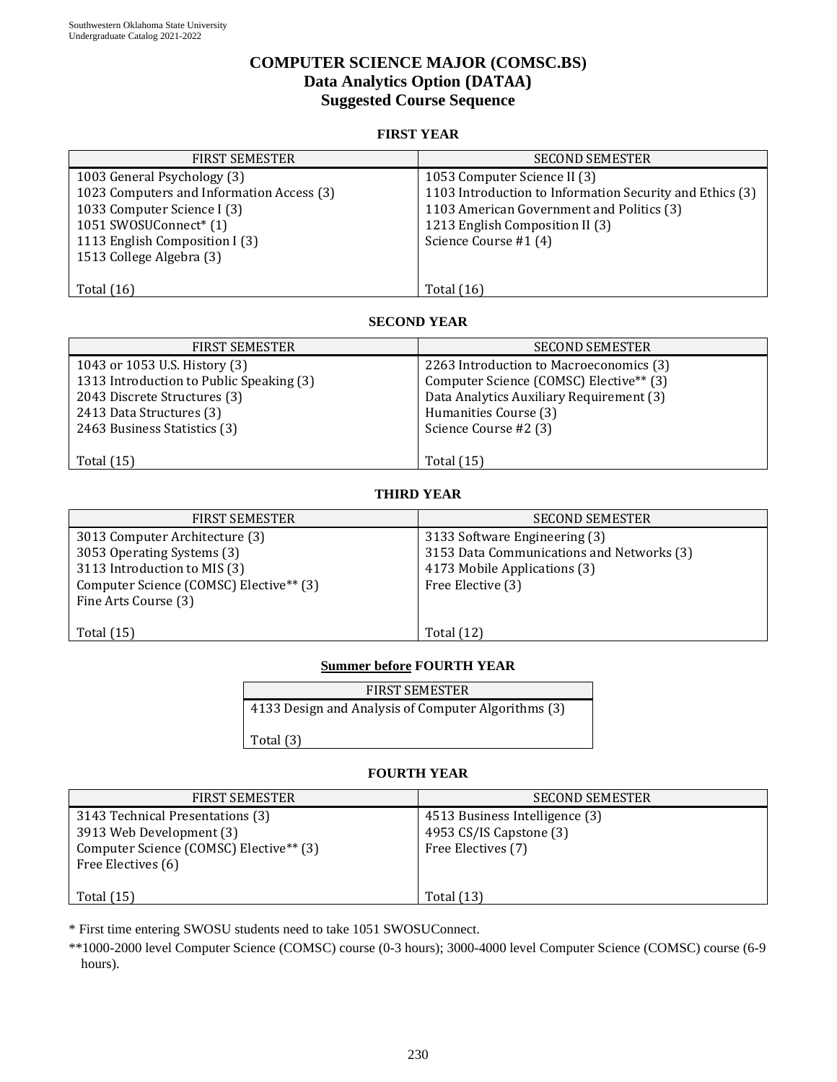# **COMPUTER SCIENCE MAJOR (COMSC.BS) Data Analytics Option (DATAA) Suggested Course Sequence**

## **FIRST YEAR**

| <b>FIRST SEMESTER</b>                     | <b>SECOND SEMESTER</b>                                   |
|-------------------------------------------|----------------------------------------------------------|
| 1003 General Psychology (3)               | 1053 Computer Science II (3)                             |
| 1023 Computers and Information Access (3) | 1103 Introduction to Information Security and Ethics (3) |
| 1033 Computer Science I (3)               | 1103 American Government and Politics (3)                |
| 1051 SWOSUConnect* (1)                    | 1213 English Composition II (3)                          |
| 1113 English Composition I (3)            | Science Course #1 (4)                                    |
| 1513 College Algebra (3)                  |                                                          |
|                                           |                                                          |
| Total $(16)$                              | <b>Total</b> (16)                                        |

#### **SECOND YEAR**

| <b>FIRST SEMESTER</b>                    | <b>SECOND SEMESTER</b>                   |
|------------------------------------------|------------------------------------------|
| 1043 or 1053 U.S. History (3)            | 2263 Introduction to Macroeconomics (3)  |
| 1313 Introduction to Public Speaking (3) | Computer Science (COMSC) Elective** (3)  |
| 2043 Discrete Structures (3)             | Data Analytics Auxiliary Requirement (3) |
| 2413 Data Structures (3)                 | Humanities Course (3)                    |
| 2463 Business Statistics (3)             | Science Course #2 (3)                    |
|                                          |                                          |
| Total $(15)$                             | <b>Total</b> (15)                        |

## **THIRD YEAR**

| <b>FIRST SEMESTER</b>                   | <b>SECOND SEMESTER</b>                    |
|-----------------------------------------|-------------------------------------------|
| 3013 Computer Architecture (3)          | 3133 Software Engineering (3)             |
| 3053 Operating Systems (3)              | 3153 Data Communications and Networks (3) |
| 3113 Introduction to MIS (3)            | 4173 Mobile Applications (3)              |
| Computer Science (COMSC) Elective** (3) | Free Elective (3)                         |
| Fine Arts Course (3)                    |                                           |
|                                         |                                           |
| Total $(15)$                            | <b>Total</b> (12)                         |

## **Summer before FOURTH YEAR**

#### **FOURTH YEAR**

| <b>FIRST SEMESTER</b>                                                                                                         | <b>SECOND SEMESTER</b>                                                          |
|-------------------------------------------------------------------------------------------------------------------------------|---------------------------------------------------------------------------------|
| 3143 Technical Presentations (3)<br>3913 Web Development (3)<br>Computer Science (COMSC) Elective** (3)<br>Free Electives (6) | 4513 Business Intelligence (3)<br>4953 CS/IS Capstone (3)<br>Free Electives (7) |
| Total $(15)$                                                                                                                  | Total $(13)$                                                                    |

\* First time entering SWOSU students need to take 1051 SWOSUConnect.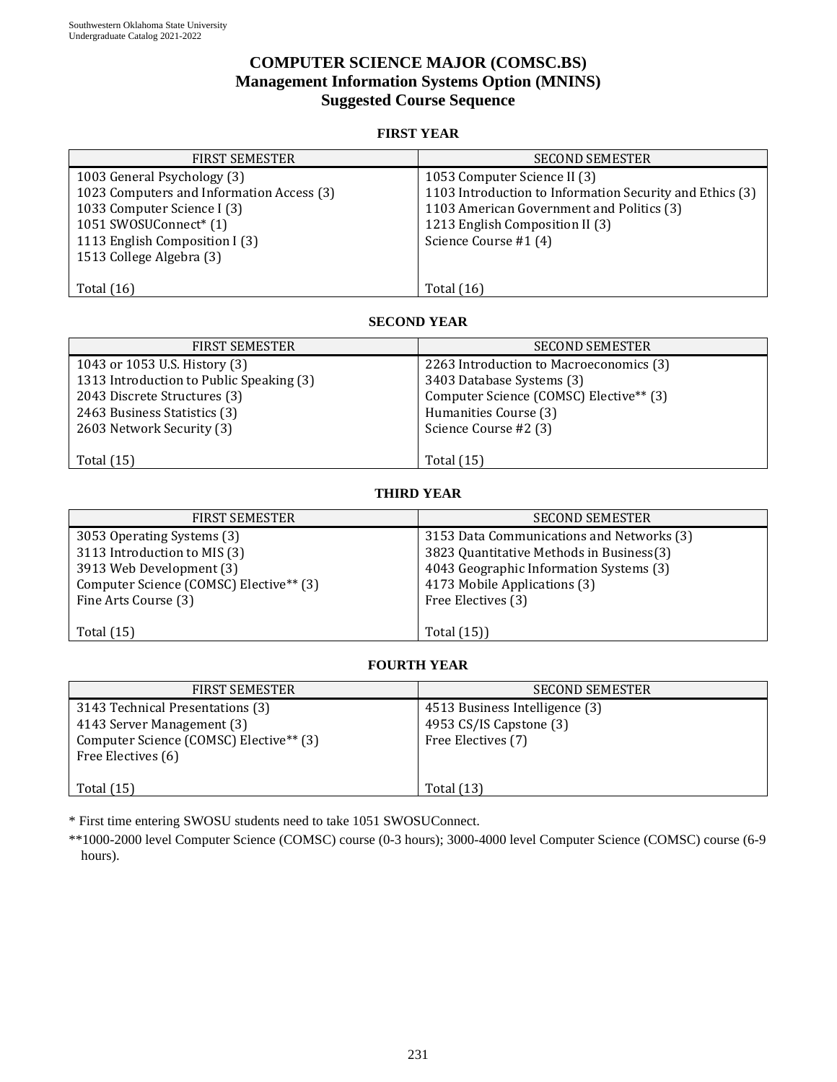# **COMPUTER SCIENCE MAJOR (COMSC.BS) Management Information Systems Option (MNINS) Suggested Course Sequence**

## **FIRST YEAR**

| <b>FIRST SEMESTER</b>                     | <b>SECOND SEMESTER</b>                                   |
|-------------------------------------------|----------------------------------------------------------|
| 1003 General Psychology (3)               | 1053 Computer Science II (3)                             |
| 1023 Computers and Information Access (3) | 1103 Introduction to Information Security and Ethics (3) |
| 1033 Computer Science I (3)               | 1103 American Government and Politics (3)                |
| 1051 SWOSUConnect <sup>*</sup> (1)        | 1213 English Composition II (3)                          |
| 1113 English Composition I (3)            | Science Course #1 (4)                                    |
| 1513 College Algebra (3)                  |                                                          |
|                                           |                                                          |
| Total $(16)$                              | Total $(16)$                                             |

#### **SECOND YEAR**

| <b>FIRST SEMESTER</b>                    | <b>SECOND SEMESTER</b>                  |
|------------------------------------------|-----------------------------------------|
| 1043 or 1053 U.S. History (3)            | 2263 Introduction to Macroeconomics (3) |
| 1313 Introduction to Public Speaking (3) | 3403 Database Systems (3)               |
| 2043 Discrete Structures (3)             | Computer Science (COMSC) Elective** (3) |
| 2463 Business Statistics (3)             | Humanities Course (3)                   |
| 2603 Network Security (3)                | Science Course #2 (3)                   |
|                                          |                                         |
| Total $(15)$                             | Total $(15)$                            |

## **THIRD YEAR**

| <b>FIRST SEMESTER</b>                                                                                                                                     | <b>SECOND SEMESTER</b>                                                                                                                                                                 |
|-----------------------------------------------------------------------------------------------------------------------------------------------------------|----------------------------------------------------------------------------------------------------------------------------------------------------------------------------------------|
| 3053 Operating Systems (3)<br>3113 Introduction to MIS (3)<br>3913 Web Development (3)<br>Computer Science (COMSC) Elective** (3)<br>Fine Arts Course (3) | 3153 Data Communications and Networks (3)<br>3823 Quantitative Methods in Business(3)<br>4043 Geographic Information Systems (3)<br>4173 Mobile Applications (3)<br>Free Electives (3) |
| Total $(15)$                                                                                                                                              | Total (15))                                                                                                                                                                            |

## **FOURTH YEAR**

| <b>FIRST SEMESTER</b>                                                                                                                       | <b>SECOND SEMESTER</b>                                                          |
|---------------------------------------------------------------------------------------------------------------------------------------------|---------------------------------------------------------------------------------|
| 3143 Technical Presentations (3)<br>4143 Server Management (3)<br>Computer Science (COMSC) Elective <sup>**</sup> (3)<br>Free Electives (6) | 4513 Business Intelligence (3)<br>4953 CS/IS Capstone (3)<br>Free Electives (7) |
| Total $(15)$                                                                                                                                | <b>Total</b> (13)                                                               |

\* First time entering SWOSU students need to take 1051 SWOSUConnect.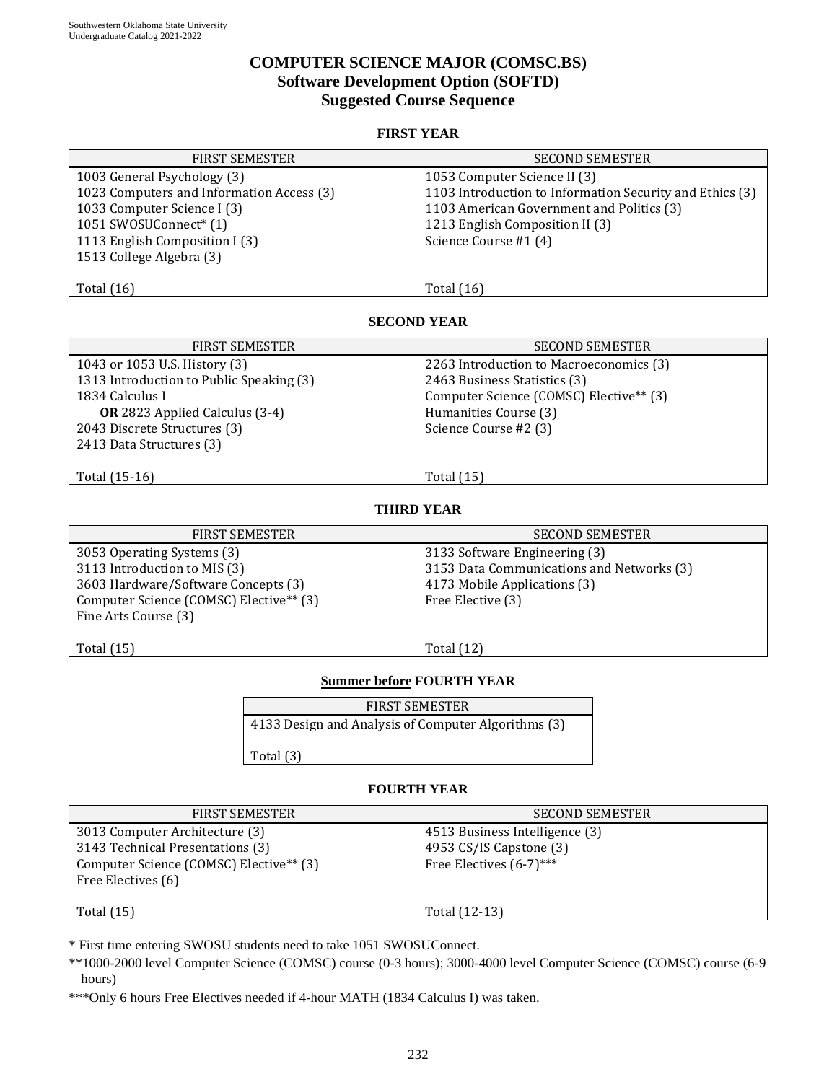# **COMPUTER SCIENCE MAJOR (COMSC.BS) Software Development Option (SOFTD) Suggested Course Sequence**

## **FIRST YEAR**

| <b>FIRST SEMESTER</b>                     | <b>SECOND SEMESTER</b>                                   |
|-------------------------------------------|----------------------------------------------------------|
| 1003 General Psychology (3)               | 1053 Computer Science II (3)                             |
| 1023 Computers and Information Access (3) | 1103 Introduction to Information Security and Ethics (3) |
| 1033 Computer Science I (3)               | 1103 American Government and Politics (3)                |
| 1051 SWOSUConnect* (1)                    | 1213 English Composition II (3)                          |
| 1113 English Composition I (3)            | Science Course #1 (4)                                    |
| 1513 College Algebra (3)                  |                                                          |
|                                           |                                                          |
| Total $(16)$                              | Total $(16)$                                             |

#### **SECOND YEAR**

| <b>FIRST SEMESTER</b>                    | <b>SECOND SEMESTER</b>                  |
|------------------------------------------|-----------------------------------------|
| 1043 or 1053 U.S. History (3)            | 2263 Introduction to Macroeconomics (3) |
| 1313 Introduction to Public Speaking (3) | 2463 Business Statistics (3)            |
| 1834 Calculus I                          | Computer Science (COMSC) Elective** (3) |
| <b>OR</b> 2823 Applied Calculus (3-4)    | Humanities Course (3)                   |
| 2043 Discrete Structures (3)             | Science Course #2 (3)                   |
| 2413 Data Structures (3)                 |                                         |
|                                          |                                         |
| Total (15-16)                            | <b>Total</b> (15)                       |

### **THIRD YEAR**

| <b>FIRST SEMESTER</b>                                                                                                                                                | <b>SECOND SEMESTER</b>                                                                                                          |
|----------------------------------------------------------------------------------------------------------------------------------------------------------------------|---------------------------------------------------------------------------------------------------------------------------------|
| 3053 Operating Systems (3)<br>3113 Introduction to MIS (3)<br>3603 Hardware/Software Concepts (3)<br>Computer Science (COMSC) Elective** (3)<br>Fine Arts Course (3) | 3133 Software Engineering (3)<br>3153 Data Communications and Networks (3)<br>4173 Mobile Applications (3)<br>Free Elective (3) |
| Total $(15)$                                                                                                                                                         | Total (12)                                                                                                                      |

## **Summer before FOURTH YEAR**

| <b>FIRST SEMESTER</b>                               |  |
|-----------------------------------------------------|--|
| 4133 Design and Analysis of Computer Algorithms (3) |  |

Total (3)

## **FOURTH YEAR**

| <b>FIRST SEMESTER</b>                                                                                                                           | <b>SECOND SEMESTER</b>                                                               |
|-------------------------------------------------------------------------------------------------------------------------------------------------|--------------------------------------------------------------------------------------|
| 3013 Computer Architecture (3)<br>3143 Technical Presentations (3)<br>Computer Science (COMSC) Elective <sup>**</sup> (3)<br>Free Electives (6) | 4513 Business Intelligence (3)<br>4953 CS/IS Capstone (3)<br>Free Electives (6-7)*** |
| Total $(15)$                                                                                                                                    | Total (12-13)                                                                        |

\* First time entering SWOSU students need to take 1051 SWOSUConnect.

\*\*1000-2000 level Computer Science (COMSC) course (0-3 hours); 3000-4000 level Computer Science (COMSC) course (6-9 hours)

\*\*\*Only 6 hours Free Electives needed if 4-hour MATH (1834 Calculus I) was taken.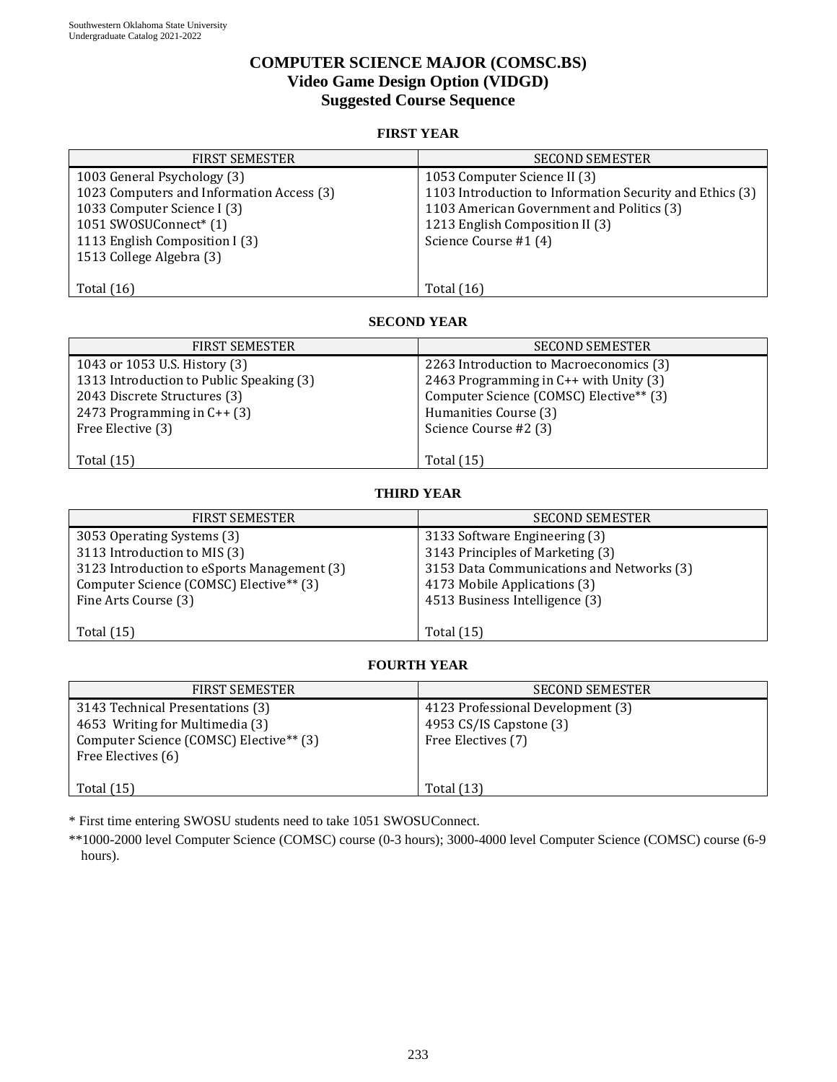# **COMPUTER SCIENCE MAJOR (COMSC.BS) Video Game Design Option (VIDGD) Suggested Course Sequence**

## **FIRST YEAR**

| <b>FIRST SEMESTER</b>                     | <b>SECOND SEMESTER</b>                                   |  |  |
|-------------------------------------------|----------------------------------------------------------|--|--|
| 1003 General Psychology (3)               | 1053 Computer Science II (3)                             |  |  |
| 1023 Computers and Information Access (3) | 1103 Introduction to Information Security and Ethics (3) |  |  |
| 1033 Computer Science I (3)               | 1103 American Government and Politics (3)                |  |  |
| 1051 SWOSUConnect* (1)                    | 1213 English Composition II (3)                          |  |  |
| 1113 English Composition I (3)            | Science Course #1 (4)                                    |  |  |
| 1513 College Algebra (3)                  |                                                          |  |  |
|                                           |                                                          |  |  |
| Total $(16)$                              | Total $(16)$                                             |  |  |

#### **SECOND YEAR**

| <b>FIRST SEMESTER</b>                    | <b>SECOND SEMESTER</b>                  |  |  |
|------------------------------------------|-----------------------------------------|--|--|
| 1043 or 1053 U.S. History (3)            | 2263 Introduction to Macroeconomics (3) |  |  |
| 1313 Introduction to Public Speaking (3) | 2463 Programming in C++ with Unity (3)  |  |  |
| 2043 Discrete Structures (3)             | Computer Science (COMSC) Elective** (3) |  |  |
| 2473 Programming in $C++(3)$             | Humanities Course (3)                   |  |  |
| Free Elective (3)                        | Science Course #2 (3)                   |  |  |
|                                          |                                         |  |  |
| Total $(15)$                             | <b>Total</b> (15)                       |  |  |

## **THIRD YEAR**

| <b>FIRST SEMESTER</b>                       | <b>SECOND SEMESTER</b>                    |  |  |
|---------------------------------------------|-------------------------------------------|--|--|
| 3053 Operating Systems (3)                  | 3133 Software Engineering (3)             |  |  |
| 3113 Introduction to MIS (3)                | 3143 Principles of Marketing (3)          |  |  |
| 3123 Introduction to eSports Management (3) | 3153 Data Communications and Networks (3) |  |  |
| Computer Science (COMSC) Elective** (3)     | 4173 Mobile Applications (3)              |  |  |
| Fine Arts Course (3)                        | 4513 Business Intelligence (3)            |  |  |
|                                             |                                           |  |  |
| Total $(15)$                                | Total $(15)$                              |  |  |

## **FOURTH YEAR**

| <b>FIRST SEMESTER</b>                                                                                                                | <b>SECOND SEMESTER</b>                                                             |  |
|--------------------------------------------------------------------------------------------------------------------------------------|------------------------------------------------------------------------------------|--|
| 3143 Technical Presentations (3)<br>4653 Writing for Multimedia (3)<br>Computer Science (COMSC) Elective** (3)<br>Free Electives (6) | 4123 Professional Development (3)<br>4953 CS/IS Capstone (3)<br>Free Electives (7) |  |
| Total $(15)$                                                                                                                         | <b>Total</b> (13)                                                                  |  |

\* First time entering SWOSU students need to take 1051 SWOSUConnect.